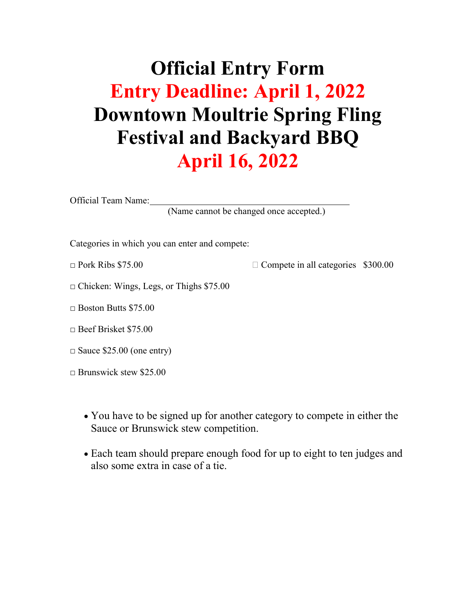# **Official Entry Form Entry Deadline: April 1, 2022 Downtown Moultrie Spring Fling Festival and Backyard BBQ April 16, 2022**

Official Team Name:

(Name cannot be changed once accepted.)

Categories in which you can enter and compete:

 $\Box$  Pork Ribs \$75.00  $\Box$  Compete in all categories \$300.00

 $\Box$  Chicken: Wings, Legs, or Thighs \$75.00

 $\Box$  Boston Butts \$75.00

□ Beef Brisket \$75.00

 $\Box$  Sauce \$25.00 (one entry)

□ Brunswick stew \$25.00

- You have to be signed up for another category to compete in either the Sauce or Brunswick stew competition.
- Each team should prepare enough food for up to eight to ten judges and also some extra in case of a tie.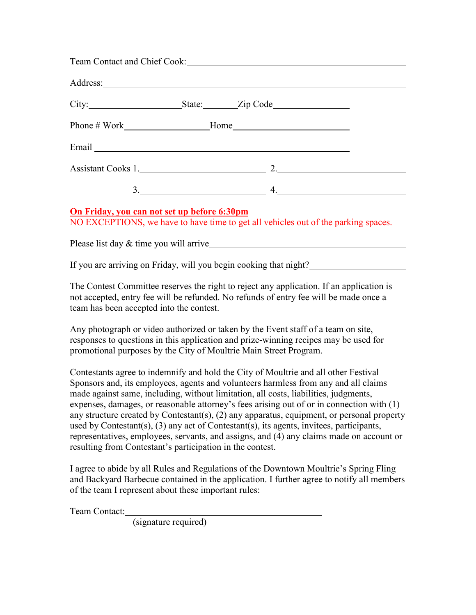|                                             | Team Contact and Chief Cook: National According of the Cook and Chief Cook:                                                                                                                                                                    |  |
|---------------------------------------------|------------------------------------------------------------------------------------------------------------------------------------------------------------------------------------------------------------------------------------------------|--|
|                                             |                                                                                                                                                                                                                                                |  |
|                                             | City: State: Zip Code                                                                                                                                                                                                                          |  |
|                                             |                                                                                                                                                                                                                                                |  |
|                                             |                                                                                                                                                                                                                                                |  |
|                                             |                                                                                                                                                                                                                                                |  |
|                                             | $3.$ $4.$                                                                                                                                                                                                                                      |  |
| On Friday, you can not set up before 6:30pm | NO EXCEPTIONS, we have to have time to get all vehicles out of the parking spaces.                                                                                                                                                             |  |
|                                             |                                                                                                                                                                                                                                                |  |
|                                             | If you are arriving on Friday, will you begin cooking that night?                                                                                                                                                                              |  |
| team has been accepted into the contest.    | The Contest Committee reserves the right to reject any application. If an application is<br>not accepted, entry fee will be refunded. No refunds of entry fee will be made once a                                                              |  |
|                                             | Any photograph or video authorized or taken by the Event staff of a team on site,<br>responses to questions in this application and prize-winning recipes may be used for<br>promotional purposes by the City of Moultrie Main Street Program. |  |
|                                             | Contestants agree to indemnify and hold the City of Moultrie and all other Festival                                                                                                                                                            |  |

Sponsors and, its employees, agents and volunteers harmless from any and all claims made against same, including, without limitation, all costs, liabilities, judgments, expenses, damages, or reasonable attorney's fees arising out of or in connection with (1) any structure created by Contestant(s), (2) any apparatus, equipment, or personal property used by Contestant(s), (3) any act of Contestant(s), its agents, invitees, participants, representatives, employees, servants, and assigns, and (4) any claims made on account or resulting from Contestant's participation in the contest.

I agree to abide by all Rules and Regulations of the Downtown Moultrie's Spring Fling and Backyard Barbecue contained in the application. I further agree to notify all members of the team I represent about these important rules:

Team Contact:

(signature required)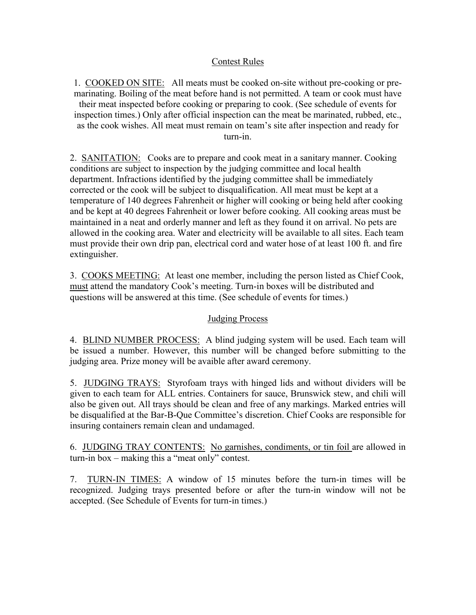### Contest Rules

1. COOKED ON SITE: All meats must be cooked on-site without pre-cooking or premarinating. Boiling of the meat before hand is not permitted. A team or cook must have their meat inspected before cooking or preparing to cook. (See schedule of events for inspection times.) Only after official inspection can the meat be marinated, rubbed, etc., as the cook wishes. All meat must remain on team's site after inspection and ready for turn-in.

2. SANITATION: Cooks are to prepare and cook meat in a sanitary manner. Cooking conditions are subject to inspection by the judging committee and local health department. Infractions identified by the judging committee shall be immediately corrected or the cook will be subject to disqualification. All meat must be kept at a temperature of 140 degrees Fahrenheit or higher will cooking or being held after cooking and be kept at 40 degrees Fahrenheit or lower before cooking. All cooking areas must be maintained in a neat and orderly manner and left as they found it on arrival. No pets are allowed in the cooking area. Water and electricity will be available to all sites. Each team must provide their own drip pan, electrical cord and water hose of at least 100 ft. and fire extinguisher.

3. COOKS MEETING: At least one member, including the person listed as Chief Cook, must attend the mandatory Cook's meeting. Turn-in boxes will be distributed and questions will be answered at this time. (See schedule of events for times.)

### Judging Process

4. BLIND NUMBER PROCESS: A blind judging system will be used. Each team will be issued a number. However, this number will be changed before submitting to the judging area. Prize money will be avaible after award ceremony.

5. JUDGING TRAYS: Styrofoam trays with hinged lids and without dividers will be given to each team for ALL entries. Containers for sauce, Brunswick stew, and chili will also be given out. All trays should be clean and free of any markings. Marked entries will be disqualified at the Bar-B-Que Committee's discretion. Chief Cooks are responsible for insuring containers remain clean and undamaged.

6. JUDGING TRAY CONTENTS: No garnishes, condiments, or tin foil are allowed in turn-in box – making this a "meat only" contest.

7. TURN-IN TIMES: A window of 15 minutes before the turn-in times will be recognized. Judging trays presented before or after the turn-in window will not be accepted. (See Schedule of Events for turn-in times.)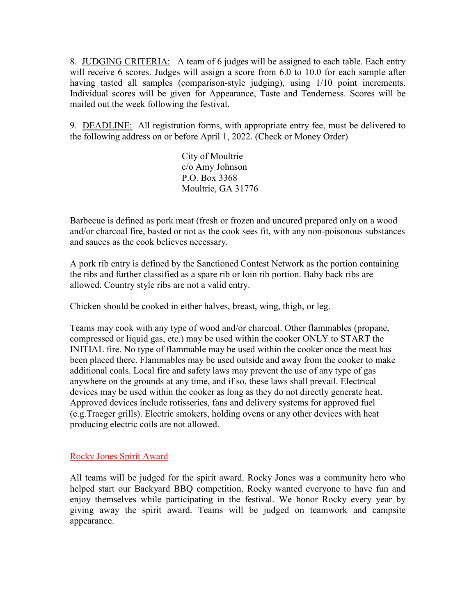8. JUDGING CRITERIA: A team of 6 judges will be assigned to each table. Each entry will receive 6 scores. Judges will assign a score from 6.0 to 10.0 for each sample after having tasted all samples (comparison-style judging), using 1/10 point increments. Individual scores will be given for Appearance, Taste and Tenderness. Scores will be mailed out the week following the festival.

9. DEADLINE: All registration forms, with appropriate entry fee, must be delivered to the following address on or before April 1, 2022. (Check or Money Order)

> City of Moultrie c/o Amy Johnson P.O. Box 3368 Moultrie, GA 31776

Barbecue is defined as pork meat (fresh or frozen and uncured prepared only on a wood and/or charcoal fire, basted or not as the cook sees fit, with any non-poisonous substances and sauces as the cook believes necessary.

A pork rib entry is defined by the Sanctioned Contest Network as the portion containing the ribs and further classified as a spare rib or loin rib portion. Baby back ribs are allowed. Country style ribs are not a valid entry.

Chicken should be cooked in either halves, breast, wing, thigh, or leg.

Teams may cook with any type of wood and/or charcoal. Other flammables (propane, compressed or liquid gas, etc.) may be used within the cooker ONLY to START the INITIAL fire. No type of flammable may be used within the cooker once the meat has been placed there. Flammables may be used outside and away from the cooker to make additional coals. Local fire and safety laws may prevent the use of any type of gas anywhere on the grounds at any time, and if so, these laws shall prevail. Electrical devices may be used within the cooker as long as they do not directly generate heat. Approved devices include rotisseries, fans and delivery systems for approved fuel (e.g.Traeger grills). Electric smokers, holding ovens or any other devices with heat producing electric coils are not allowed.

### Rocky Jones Spirit Award

All teams will be judged for the spirit award. Rocky Jones was a community hero who helped start our Backyard BBQ competition. Rocky wanted everyone to have fun and enjoy themselves while participating in the festival. We honor Rocky every year by giving away the spirit award. Teams will be judged on teamwork and campsite appearance.